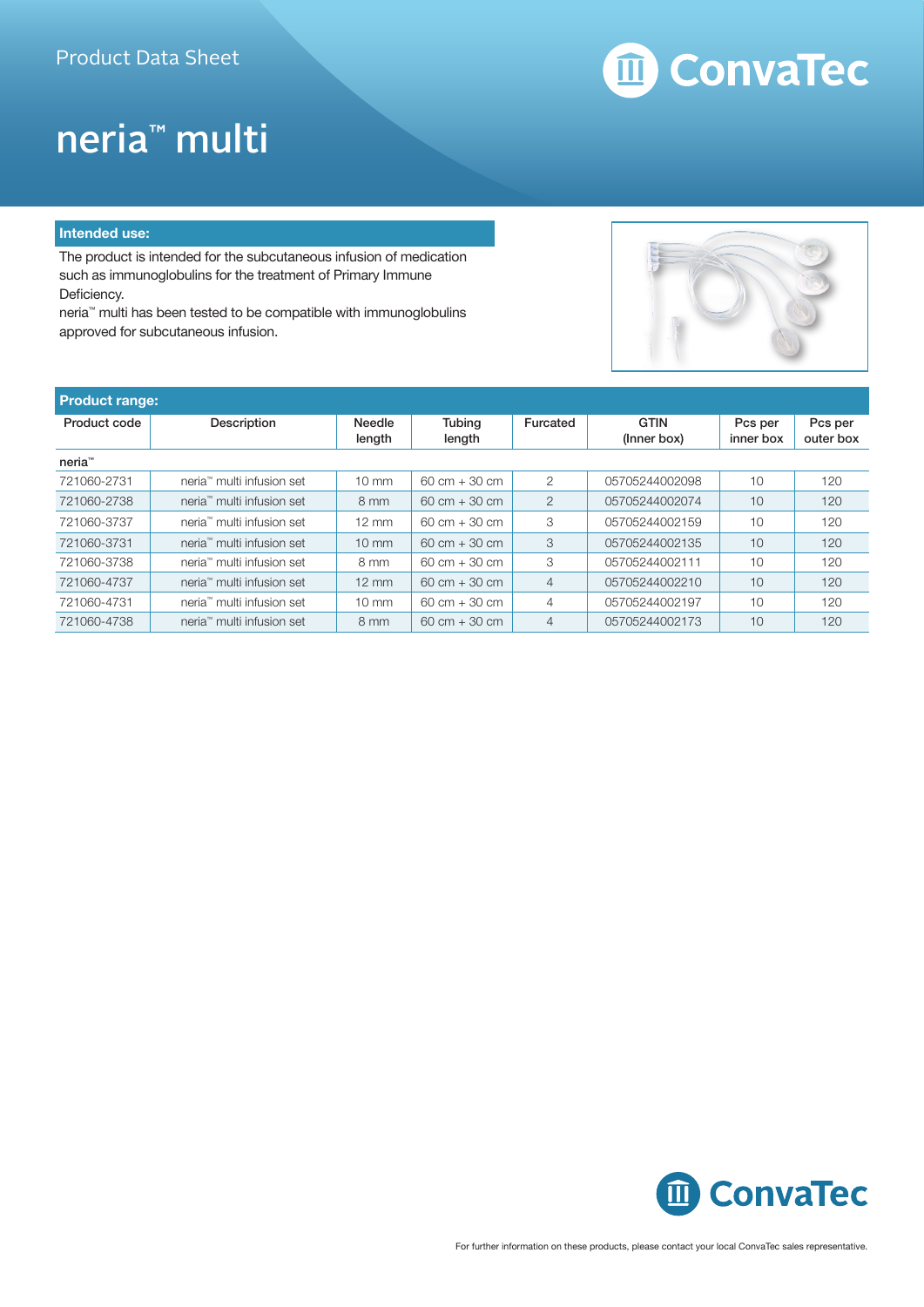# m ConvaTec

## neria™ multi

#### **Intended use:**

The product is intended for the subcutaneous infusion of medication such as immunoglobulins for the treatment of Primary Immune Deficiency.

neria™ multi has been tested to be compatible with immunoglobulins approved for subcutaneous infusion.



| <b>Product range:</b> |                                       |                         |                                 |                |                            |                      |                      |
|-----------------------|---------------------------------------|-------------------------|---------------------------------|----------------|----------------------------|----------------------|----------------------|
| Product code          | Description                           | <b>Needle</b><br>length | <b>Tubing</b><br>length         | Furcated       | <b>GTIN</b><br>(Inner box) | Pcs per<br>inner box | Pcs per<br>outer box |
| neria <sup>™</sup>    |                                       |                         |                                 |                |                            |                      |                      |
| 721060-2731           | neria <sup>™</sup> multi infusion set | $10 \text{ mm}$         | $60 \text{ cm} + 30 \text{ cm}$ | $\overline{2}$ | 05705244002098             | 10                   | 120                  |
| 721060-2738           | neria <sup>™</sup> multi infusion set | $8 \text{ mm}$          | $60 \text{ cm} + 30 \text{ cm}$ | $\overline{2}$ | 05705244002074             | 10                   | 120                  |
| 721060-3737           | neria™ multi infusion set             | $12 \text{ mm}$         | $60 \text{ cm} + 30 \text{ cm}$ | 3              | 05705244002159             | 10                   | 120                  |
| 721060-3731           | neria <sup>™</sup> multi infusion set | $10 \text{ mm}$         | $60 \text{ cm} + 30 \text{ cm}$ | 3              | 05705244002135             | 10                   | 120                  |
| 721060-3738           | neria™ multi infusion set             | $8 \text{ mm}$          | $60 \text{ cm} + 30 \text{ cm}$ | 3              | 05705244002111             | 10                   | 120                  |
| 721060-4737           | neria <sup>™</sup> multi infusion set | $12 \text{ mm}$         | $60 \text{ cm} + 30 \text{ cm}$ | $\overline{4}$ | 05705244002210             | 10                   | 120                  |
| 721060-4731           | neria™ multi infusion set             | $10 \text{ mm}$         | $60 \text{ cm} + 30 \text{ cm}$ | $\overline{4}$ | 05705244002197             | 10                   | 120                  |
| 721060-4738           | neria™ multi infusion set             | $8 \text{ mm}$          | $60 \text{ cm} + 30 \text{ cm}$ | $\overline{4}$ | 05705244002173             | 10                   | 120                  |